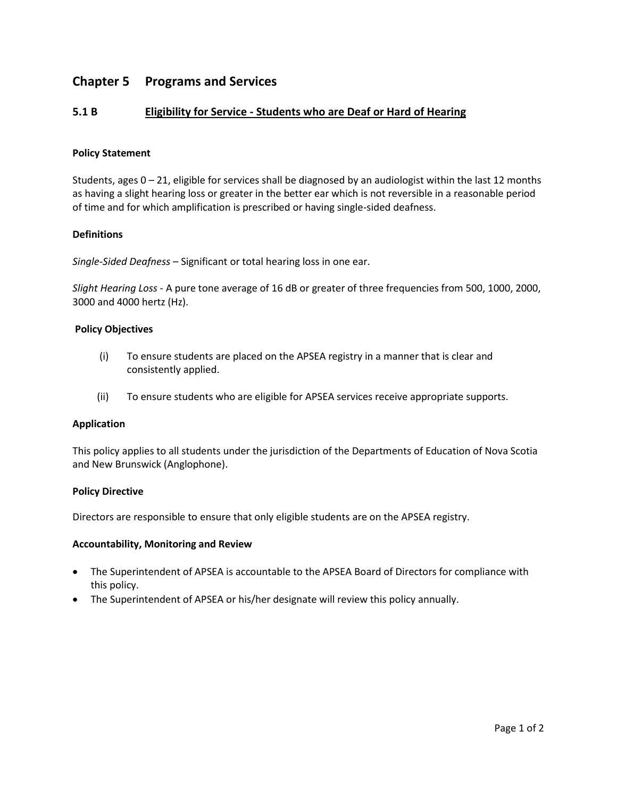# **Chapter 5 Programs and Services**

# **5.1 B Eligibility for Service - Students who are Deaf or Hard of Hearing**

## **Policy Statement**

Students, ages 0 – 21, eligible for services shall be diagnosed by an audiologist within the last 12 months as having a slight hearing loss or greater in the better ear which is not reversible in a reasonable period of time and for which amplification is prescribed or having single-sided deafness.

## **Definitions**

*Single-Sided Deafness* – Significant or total hearing loss in one ear.

*Slight Hearing Loss* - A pure tone average of 16 dB or greater of three frequencies from 500, 1000, 2000, 3000 and 4000 hertz (Hz).

#### **Policy Objectives**

- (i) To ensure students are placed on the APSEA registry in a manner that is clear and consistently applied.
- (ii) To ensure students who are eligible for APSEA services receive appropriate supports.

#### **Application**

This policy applies to all students under the jurisdiction of the Departments of Education of Nova Scotia and New Brunswick (Anglophone).

#### **Policy Directive**

Directors are responsible to ensure that only eligible students are on the APSEA registry.

#### **Accountability, Monitoring and Review**

- The Superintendent of APSEA is accountable to the APSEA Board of Directors for compliance with this policy.
- The Superintendent of APSEA or his/her designate will review this policy annually.